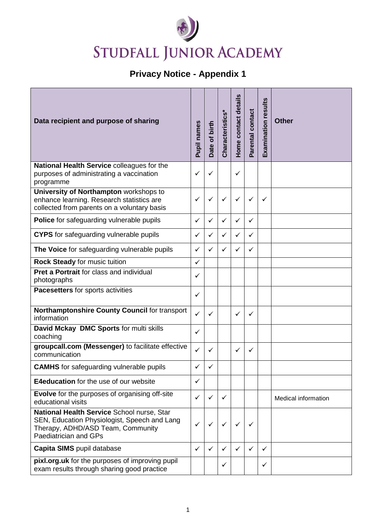## STUDFALL JUNIOR ACADEMY

## **Privacy Notice - Appendix 1**

| Data recipient and purpose of sharing                                                                                                                    | Pupil names  | Date of birth | Characteristics* | Home contact details | Parental contact | <b>Examination results</b> | <b>Other</b>               |
|----------------------------------------------------------------------------------------------------------------------------------------------------------|--------------|---------------|------------------|----------------------|------------------|----------------------------|----------------------------|
| National Health Service colleagues for the<br>purposes of administrating a vaccination<br>programme                                                      | ✓            | ✓             |                  | ✓                    |                  |                            |                            |
| University of Northampton workshops to<br>enhance learning. Research statistics are<br>collected from parents on a voluntary basis                       | ✓            | $\checkmark$  | ✓                | ✓                    | $\checkmark$     | ✓                          |                            |
| Police for safeguarding vulnerable pupils                                                                                                                | $\checkmark$ | ✓             | ✓                | $\checkmark$         | ✓                |                            |                            |
| <b>CYPS</b> for safeguarding vulnerable pupils                                                                                                           | $\checkmark$ | ✓             | ✓                | ✓                    | $\checkmark$     |                            |                            |
| The Voice for safeguarding vulnerable pupils                                                                                                             | ✓            | $\checkmark$  | ✓                | ✓                    | ✓                |                            |                            |
| Rock Steady for music tuition                                                                                                                            | ✓            |               |                  |                      |                  |                            |                            |
| Pret a Portrait for class and individual<br>photographs                                                                                                  | ✓            |               |                  |                      |                  |                            |                            |
| Pacesetters for sports activities                                                                                                                        | ✓            |               |                  |                      |                  |                            |                            |
| Northamptonshire County Council for transport<br>information                                                                                             | ✓            | ✓             |                  | ✓                    | ✓                |                            |                            |
| David Mckay DMC Sports for multi skills<br>coaching                                                                                                      | ✓            |               |                  |                      |                  |                            |                            |
| groupcall.com (Messenger) to facilitate effective<br>communication                                                                                       | $\checkmark$ | ✓             |                  | ✓                    | ✓                |                            |                            |
| <b>CAMHS</b> for safeguarding vulnerable pupils                                                                                                          | $\checkmark$ | ✓             |                  |                      |                  |                            |                            |
| <b>E4education</b> for the use of our website                                                                                                            | $\checkmark$ |               |                  |                      |                  |                            |                            |
| Evolve for the purposes of organising off-site<br>educational visits                                                                                     | $\checkmark$ | ✓             | $\checkmark$     |                      |                  |                            | <b>Medical information</b> |
| National Health Service School nurse, Star<br>SEN, Education Physiologist, Speech and Lang<br>Therapy, ADHD/ASD Team, Community<br>Paediatrician and GPs | ✓            | ✓             | ✓                | ✓                    | ✓                |                            |                            |
| Capita SIMS pupil database                                                                                                                               | ✓            | ✓             | ✓                | ✓                    | ✓                | ✓                          |                            |
| pixl.org.uk for the purposes of improving pupil<br>exam results through sharing good practice                                                            |              |               | ✓                |                      |                  | ✓                          |                            |